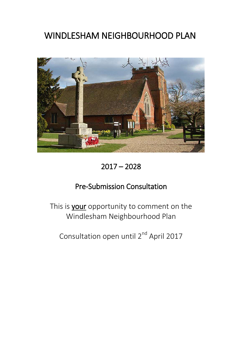# WINDLESHAM NEIGHBOURHOOD PLAN



2017 – 2028

# Pre-Submission Consultation

This is **your** opportunity to comment on the Windlesham Neighbourhood Plan

Consultation open until 2<sup>nd</sup> April 2017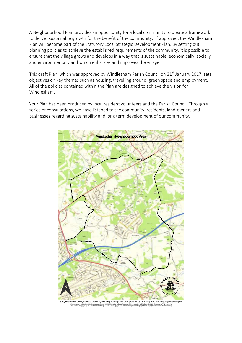A Neighbourhood Plan provides an opportunity for a local community to create a framework to deliver sustainable growth for the benefit of the community. If approved, the Windlesham Plan will become part of the Statutory Local Strategic Development Plan. By setting out planning policies to achieve the established requirements of the community, it is possible to ensure that the village grows and develops in a way that is sustainable, economically, socially and environmentally and which enhances and improves the village.

This draft Plan, which was approved by Windlesham Parish Council on 31<sup>st</sup> January 2017, sets objectives on key themes such as housing, travelling around, green space and employment. All of the policies contained within the Plan are designed to achieve the vision for Windlesham.

Your Plan has been produced by local resident volunteers and the Parish Council. Through a series of consultations, we have listened to the community, residents, land-owners and businesses regarding sustainability and long term development of our community.



Heath Borough Council, Knoll Road, CAMBERLEY, GU15 3HD | Tel: +44 (0)1276 707100 | Fax : +44 (0)1276 707448 | Email: main.reception © Crown copyright and database rights 2016 Ordnance Survey 100018679 | Contains Ordnance Survey data © Crown copyright and database right 2016 | © Geographers' A-Z Map Co. Ltd<br>Cities Revealed ® copyright by The Geoinformat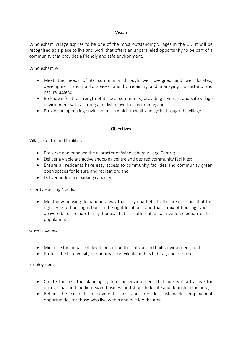## Vision

Windlesham Village aspires to be one of the most outstanding villages in the UK. It will be recognised as a place to live and work that offers an unparalleled opportunity to be part of a community that provides a friendly and safe environment.

Windlesham will:

- Meet the needs of its community through well designed and well located, development and public spaces, and by retaining and managing its historic and natural assets;
- Be known for the strength of its local community, providing a vibrant and safe village environment with a strong and distinctive local economy; and
- Provide an appealing environment in which to walk and cycle through the village.

#### **Objectives**

#### Village Centre and facilities:

- Preserve and enhance the character of Windlesham Village Centre;
- Deliver a viable attractive shopping centre and desired community facilities;
- Ensure all residents have easy access to community facilities and community green open spaces for leisure and recreation; and
- Deliver additional parking capacity.

#### Priority Housing Needs:

 Meet new housing demand in a way that is sympathetic to the area, ensure that the right type of housing is built in the right locations, and that a mix of housing types is delivered, to include family homes that are affordable to a wide selection of the population.

#### Green Spaces:

- Minimise the impact of development on the natural and built environment; and
- Protect the biodiversity of our area, our wildlife and its habitat, and our trees.

#### Employment:

- Create through the planning system, an environment that makes it attractive for micro, small and medium-sized business and shops to locate and flourish in the area;
- Retain the current employment sites and provide sustainable employment opportunities for those who live within and outside the area.